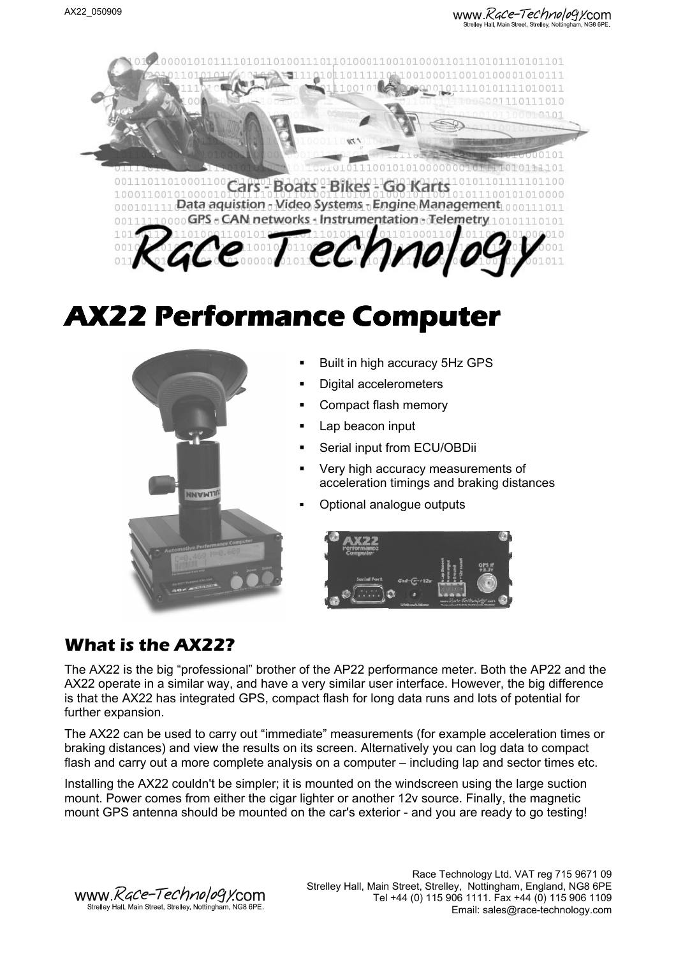www.*Race-Technology*.com .<br>Strellev Hall, Main Street, Strellev, Notting



# **AX22 Performance Computer**



- Built in high accuracy 5Hz GPS
- Digital accelerometers
- Compact flash memory
- Lap beacon input
- Serial input from ECU/OBDii
- Very high accuracy measurements of acceleration timings and braking distances
- Optional analogue outputs



### **What is the AX22?**

The AX22 is the big "professional" brother of the AP22 performance meter. Both the AP22 and the AX22 operate in a similar way, and have a very similar user interface. However, the big difference is that the AX22 has integrated GPS, compact flash for long data runs and lots of potential for further expansion.

The AX22 can be used to carry out "immediate" measurements (for example acceleration times or braking distances) and view the results on its screen. Alternatively you can log data to compact flash and carry out a more complete analysis on a computer – including lap and sector times etc.

Installing the AX22 couldn't be simpler; it is mounted on the windscreen using the large suction mount. Power comes from either the cigar lighter or another 12v source. Finally, the magnetic mount GPS antenna should be mounted on the car's exterior - and you are ready to go testing!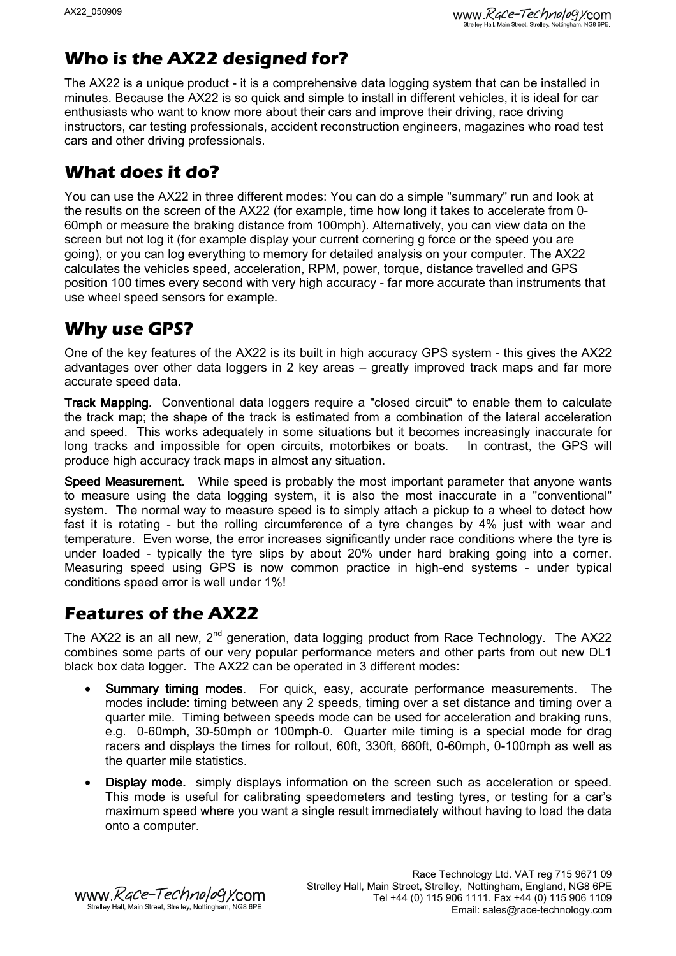### **Who is the AX22 designed for?**

The AX22 is a unique product - it is a comprehensive data logging system that can be installed in minutes. Because the AX22 is so quick and simple to install in different vehicles, it is ideal for car enthusiasts who want to know more about their cars and improve their driving, race driving instructors, car testing professionals, accident reconstruction engineers, magazines who road test cars and other driving professionals.

### **What does it do?**

You can use the AX22 in three different modes: You can do a simple "summary" run and look at the results on the screen of the AX22 (for example, time how long it takes to accelerate from 0- 60mph or measure the braking distance from 100mph). Alternatively, you can view data on the screen but not log it (for example display your current cornering g force or the speed you are going), or you can log everything to memory for detailed analysis on your computer. The AX22 calculates the vehicles speed, acceleration, RPM, power, torque, distance travelled and GPS position 100 times every second with very high accuracy - far more accurate than instruments that use wheel speed sensors for example.

### **Why use GPS?**

One of the key features of the AX22 is its built in high accuracy GPS system - this gives the AX22 advantages over other data loggers in 2 key areas – greatly improved track maps and far more accurate speed data.

Track Mapping. Conventional data loggers require a "closed circuit" to enable them to calculate the track map; the shape of the track is estimated from a combination of the lateral acceleration and speed. This works adequately in some situations but it becomes increasingly inaccurate for long tracks and impossible for open circuits, motorbikes or boats. In contrast, the GPS will produce high accuracy track maps in almost any situation.

Speed Measurement. While speed is probably the most important parameter that anyone wants to measure using the data logging system, it is also the most inaccurate in a "conventional" system. The normal way to measure speed is to simply attach a pickup to a wheel to detect how fast it is rotating - but the rolling circumference of a tyre changes by 4% just with wear and temperature. Even worse, the error increases significantly under race conditions where the tyre is under loaded - typically the tyre slips by about 20% under hard braking going into a corner. Measuring speed using GPS is now common practice in high-end systems - under typical conditions speed error is well under 1%!

### **Features of the AX22**

The AX22 is an all new,  $2^{nd}$  generation, data logging product from Race Technology. The AX22 combines some parts of our very popular performance meters and other parts from out new DL1 black box data logger. The AX22 can be operated in 3 different modes:

- Summary timing modes. For quick, easy, accurate performance measurements. The modes include: timing between any 2 speeds, timing over a set distance and timing over a quarter mile. Timing between speeds mode can be used for acceleration and braking runs, e.g. 0-60mph, 30-50mph or 100mph-0. Quarter mile timing is a special mode for drag racers and displays the times for rollout, 60ft, 330ft, 660ft, 0-60mph, 0-100mph as well as the quarter mile statistics.
- Display mode. simply displays information on the screen such as acceleration or speed. This mode is useful for calibrating speedometers and testing tyres, or testing for a car's maximum speed where you want a single result immediately without having to load the data onto a computer.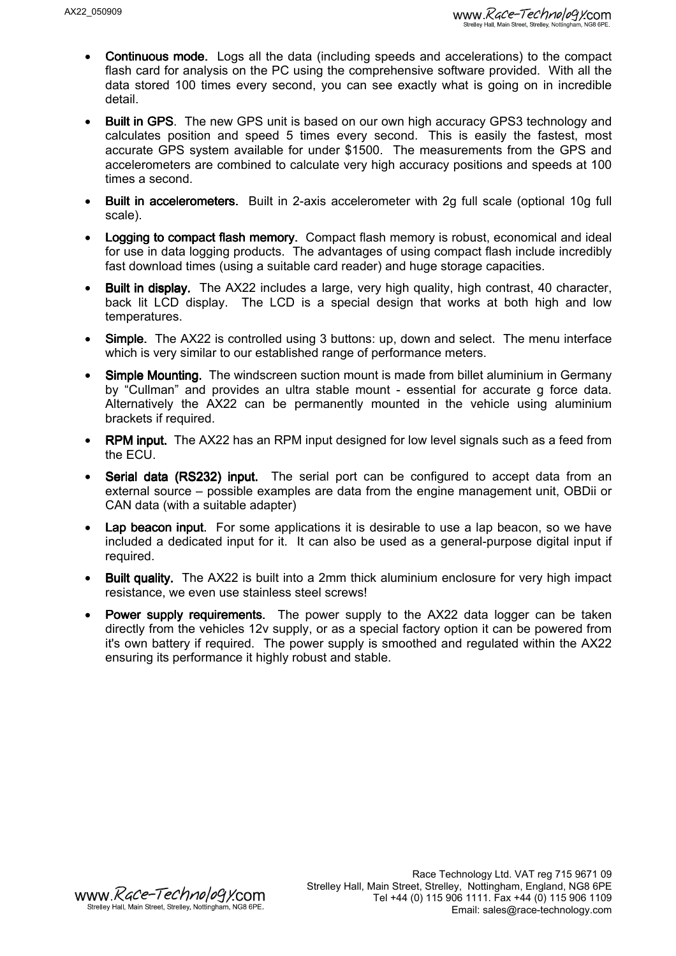- Continuous mode. Logs all the data (including speeds and accelerations) to the compact flash card for analysis on the PC using the comprehensive software provided. With all the data stored 100 times every second, you can see exactly what is going on in incredible detail.
- Built in GPS. The new GPS unit is based on our own high accuracy GPS3 technology and calculates position and speed 5 times every second. This is easily the fastest, most accurate GPS system available for under \$1500. The measurements from the GPS and accelerometers are combined to calculate very high accuracy positions and speeds at 100 times a second.
- Built in accelerometers. Built in 2-axis accelerometer with 2g full scale (optional 10g full scale).
- Logging to compact flash memory. Compact flash memory is robust, economical and ideal for use in data logging products. The advantages of using compact flash include incredibly fast download times (using a suitable card reader) and huge storage capacities.
- Built in display. The AX22 includes a large, very high quality, high contrast, 40 character, back lit LCD display. The LCD is a special design that works at both high and low temperatures.
- Simple. The AX22 is controlled using 3 buttons: up, down and select. The menu interface which is very similar to our established range of performance meters.
- Simple Mounting. The windscreen suction mount is made from billet aluminium in Germany by "Cullman" and provides an ultra stable mount - essential for accurate g force data. Alternatively the AX22 can be permanently mounted in the vehicle using aluminium brackets if required.
- RPM input. The AX22 has an RPM input designed for low level signals such as a feed from the ECU.
- Serial data (RS232) input. The serial port can be configured to accept data from an external source – possible examples are data from the engine management unit, OBDii or CAN data (with a suitable adapter)
- Lap beacon input. For some applications it is desirable to use a lap beacon, so we have included a dedicated input for it. It can also be used as a general-purpose digital input if required.
- Built quality. The AX22 is built into a 2mm thick aluminium enclosure for very high impact resistance, we even use stainless steel screws!
- **Power supply requirements.** The power supply to the AX22 data logger can be taken directly from the vehicles 12v supply, or as a special factory option it can be powered from it's own battery if required. The power supply is smoothed and regulated within the AX22 ensuring its performance it highly robust and stable.

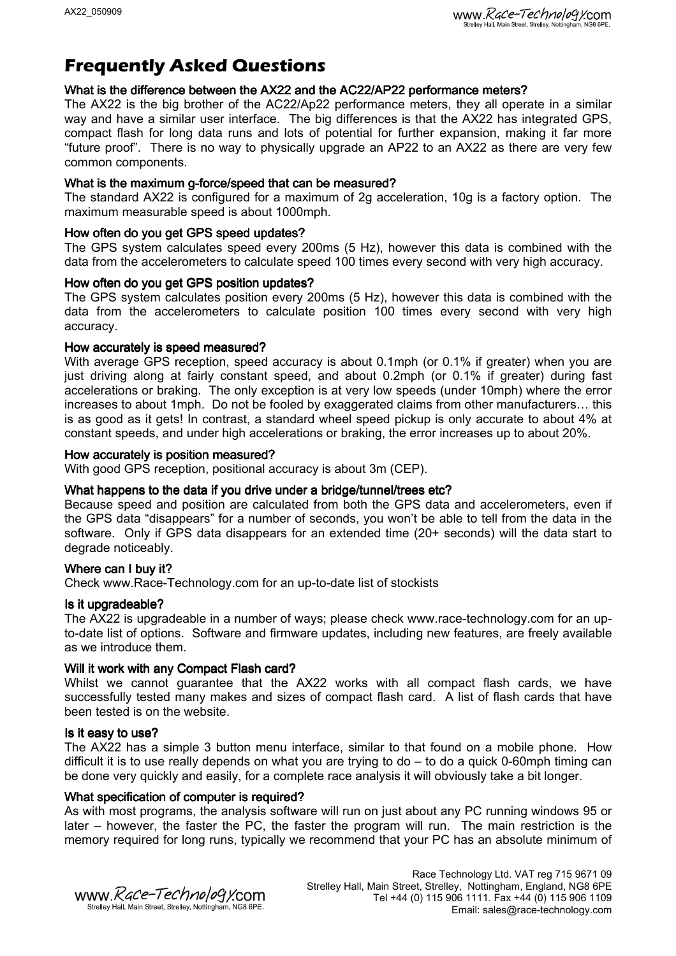### **Frequently Asked Questions**

#### What is the difference between the AX22 and the AC22/AP22 performance meters?

The AX22 is the big brother of the AC22/Ap22 performance meters, they all operate in a similar way and have a similar user interface. The big differences is that the AX22 has integrated GPS, compact flash for long data runs and lots of potential for further expansion, making it far more "future proof". There is no way to physically upgrade an AP22 to an AX22 as there are very few common components.

#### What is the maximum g-force/speed that can be measured?

The standard AX22 is configured for a maximum of 2g acceleration, 10g is a factory option. The maximum measurable speed is about 1000mph.

#### How often do you get GPS speed updates?

The GPS system calculates speed every 200ms (5 Hz), however this data is combined with the data from the accelerometers to calculate speed 100 times every second with very high accuracy.

#### How often do you get GPS position updates?

The GPS system calculates position every 200ms (5 Hz), however this data is combined with the data from the accelerometers to calculate position 100 times every second with very high accuracy.

#### How accurately is speed measured?

With average GPS reception, speed accuracy is about 0.1mph (or 0.1% if greater) when you are just driving along at fairly constant speed, and about 0.2mph (or 0.1% if greater) during fast accelerations or braking. The only exception is at very low speeds (under 10mph) where the error increases to about 1mph. Do not be fooled by exaggerated claims from other manufacturers… this is as good as it gets! In contrast, a standard wheel speed pickup is only accurate to about 4% at constant speeds, and under high accelerations or braking, the error increases up to about 20%.

#### How accurately is position measured?

With good GPS reception, positional accuracy is about 3m (CEP).

#### What happens to the data if you drive under a bridge/tunnel/trees etc?

Because speed and position are calculated from both the GPS data and accelerometers, even if the GPS data "disappears" for a number of seconds, you won't be able to tell from the data in the software. Only if GPS data disappears for an extended time (20+ seconds) will the data start to degrade noticeably.

#### Where can I buy it?

Check www.Race-Technology.com for an up-to-date list of stockists

#### Is it upgradeable?

The AX22 is upgradeable in a number of ways; please check www.race-technology.com for an upto-date list of options. Software and firmware updates, including new features, are freely available as we introduce them.

#### Will it work with any Compact Flash card?

Whilst we cannot guarantee that the AX22 works with all compact flash cards, we have successfully tested many makes and sizes of compact flash card. A list of flash cards that have been tested is on the website.

#### Is it easy to use?

The AX22 has a simple 3 button menu interface, similar to that found on a mobile phone. How difficult it is to use really depends on what you are trying to do – to do a quick 0-60mph timing can be done very quickly and easily, for a complete race analysis it will obviously take a bit longer.

#### What specification of computer is required? What specification of computer is required?

As with most programs, the analysis software will run on just about any PC running windows 95 or later – however, the faster the PC, the faster the program will run. The main restriction is the memory required for long runs, typically we recommend that your PC has an absolute minimum of

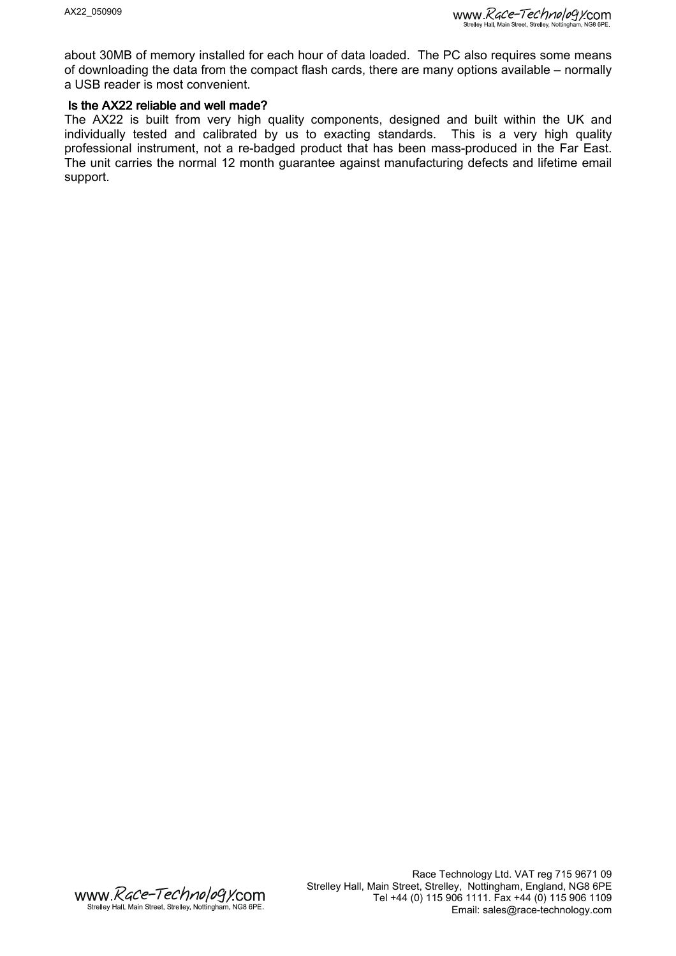about 30MB of memory installed for each hour of data loaded. The PC also requires some means of downloading the data from the compact flash cards, there are many options available – normally a USB reader is most convenient.

#### Is the AX22 reliable and well made?

The AX22 is built from very high quality components, designed and built within the UK and individually tested and calibrated by us to exacting standards. This is a very high quality professional instrument, not a re-badged product that has been mass-produced in the Far East. The unit carries the normal 12 month guarantee against manufacturing defects and lifetime email support.